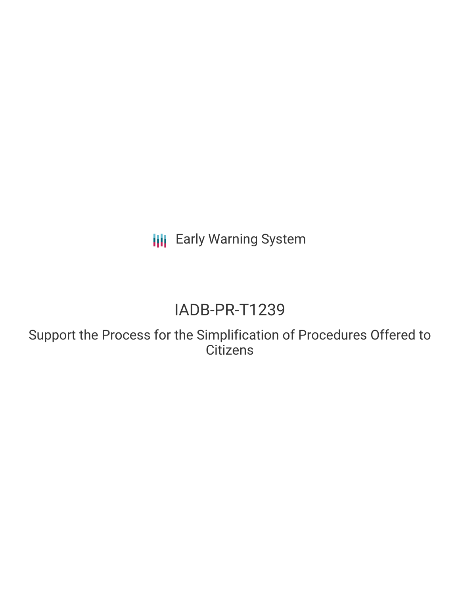**III** Early Warning System

# IADB-PR-T1239

Support the Process for the Simplification of Procedures Offered to **Citizens**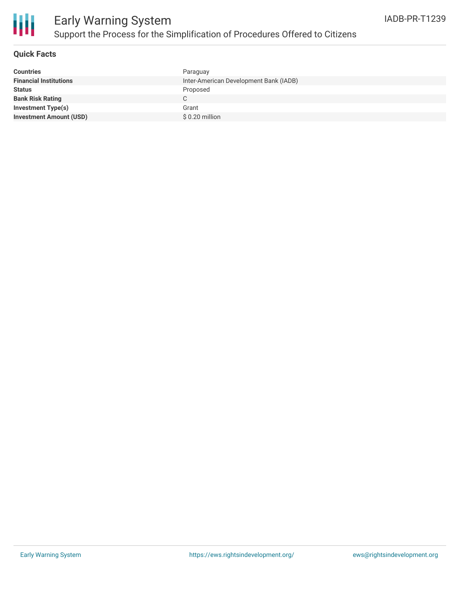

#### **Quick Facts**

| <b>Countries</b>               | Paraguay                               |
|--------------------------------|----------------------------------------|
| <b>Financial Institutions</b>  | Inter-American Development Bank (IADB) |
| <b>Status</b>                  | Proposed                               |
| <b>Bank Risk Rating</b>        |                                        |
| <b>Investment Type(s)</b>      | Grant                                  |
| <b>Investment Amount (USD)</b> | $$0.20$ million                        |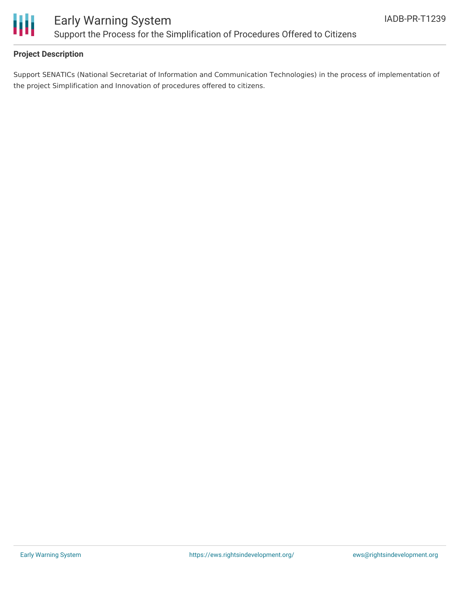

### **Project Description**

Support SENATICs (National Secretariat of Information and Communication Technologies) in the process of implementation of the project Simplification and Innovation of procedures offered to citizens.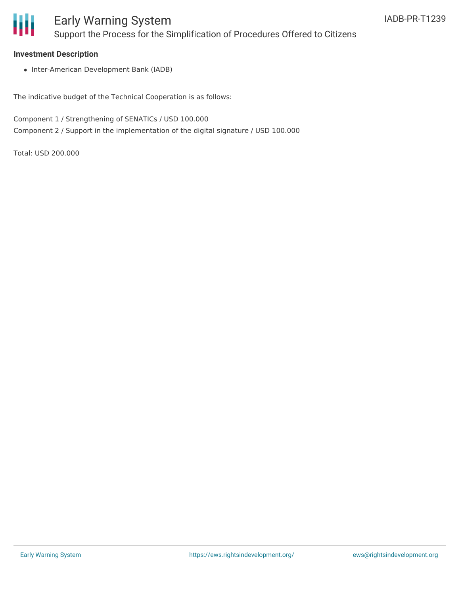

#### **Investment Description**

• Inter-American Development Bank (IADB)

The indicative budget of the Technical Cooperation is as follows:

Component 1 / Strengthening of SENATICs / USD 100.000 Component 2 / Support in the implementation of the digital signature / USD 100.000

Total: USD 200.000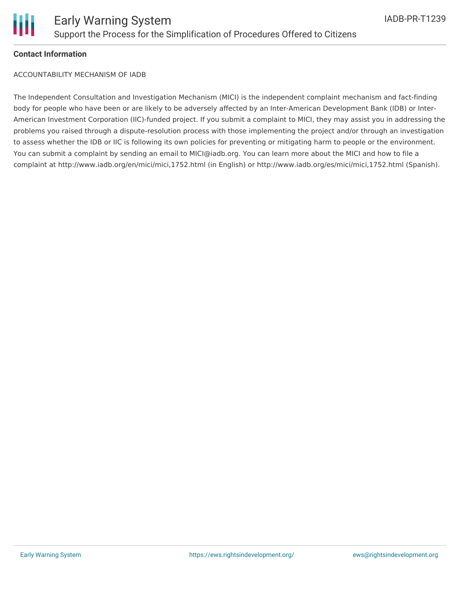

#### **Contact Information**

ACCOUNTABILITY MECHANISM OF IADB

The Independent Consultation and Investigation Mechanism (MICI) is the independent complaint mechanism and fact-finding body for people who have been or are likely to be adversely affected by an Inter-American Development Bank (IDB) or Inter-American Investment Corporation (IIC)-funded project. If you submit a complaint to MICI, they may assist you in addressing the problems you raised through a dispute-resolution process with those implementing the project and/or through an investigation to assess whether the IDB or IIC is following its own policies for preventing or mitigating harm to people or the environment. You can submit a complaint by sending an email to MICI@iadb.org. You can learn more about the MICI and how to file a complaint at http://www.iadb.org/en/mici/mici,1752.html (in English) or http://www.iadb.org/es/mici/mici,1752.html (Spanish).